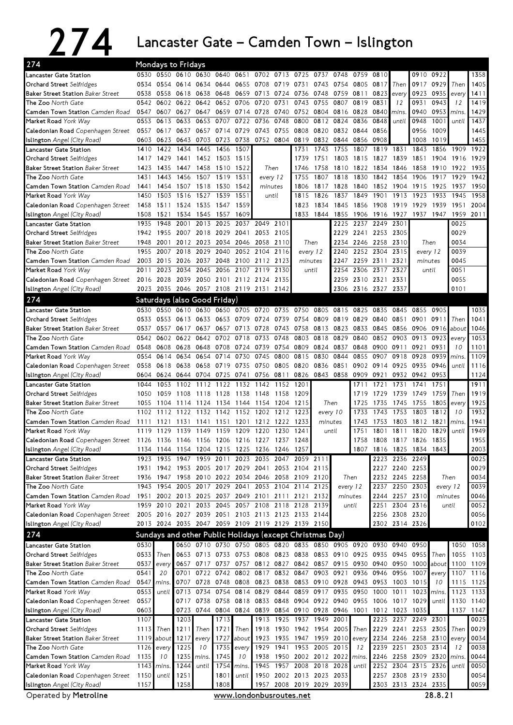## 274 Lancaster Gate – Camden Town – Islington

| 274                                                            |              | Mondays to Fridays            |              |                          |              |                   |                                                                  |                   |                                                  |              |                   |              |                |                |                                            |              |              |              |  |  |
|----------------------------------------------------------------|--------------|-------------------------------|--------------|--------------------------|--------------|-------------------|------------------------------------------------------------------|-------------------|--------------------------------------------------|--------------|-------------------|--------------|----------------|----------------|--------------------------------------------|--------------|--------------|--------------|--|--|
| Lancaster Gate Station                                         | 0530         | 0550 0610                     |              | 0630                     | 0640         | 0651              | 0702                                                             |                   | 0713 0725                                        | 0737         | 0748              | 0759         | 0810           |                | 0910                                       | 0922         |              | 1358         |  |  |
| Orchard Street Selfridges                                      | 0534         | 0554                          | 0614         | 0634                     |              | 0644 0655         | 0708                                                             | 0719 0731         |                                                  | 0743         | 0754              | 0805         | 0817           | Then           | 0917                                       | 0929         | Then         | 1405         |  |  |
| <b>Baker Street Station Baker Street</b>                       | 0538         | 0558                          | 0618         | 0638                     | 0648         | 0659              | 0713                                                             | 0724              | 0736                                             | 0748         | 0759              | 0811         | 0823           | every          | 0923                                       | 0935         | every        | 1411         |  |  |
| <b>The Zoo</b> North Gate                                      | 0542         | 0602                          | 0622         | 0642                     | 0652         | 0706              | 0720                                                             | 0731              | 0743                                             | 0755         | 0807              | 0819         | 0831           | 12             | 0931                                       | 0943         | 12           | 1419         |  |  |
| <b>Camden Town Station</b> Camden Road                         | 0547         | 0607                          | 0627         | 0647                     |              | 0659 0714         | 0728                                                             |                   | 0740 0752                                        | 0804         | 0816 0828         |              | 0840           | mins.          | 0940                                       | 0953         | mins.        | 1429         |  |  |
| Market Road York Way                                           | 0553         | 0613                          | 0633         | 0653                     | 0707         | 0722              | 0736                                                             | 0748              | 0800                                             | 0812         | 0824              | 0836         | 0848           | until          | 0948                                       | 1001         | until        | 1437         |  |  |
| Caledonian Road Copenhagen Street                              | 0557         | 0617                          | 0637         | 0657                     |              | 0714 0729         | 0743                                                             | 0755 0808         |                                                  | 0820         | 0832 0844         |              | 0856           |                | 0956                                       | 1009         |              | 1445         |  |  |
| Islington Angel (City Road)                                    | 0603         | 0623                          | 0643         | 0703                     |              | 0723 0738         |                                                                  | 0752 0804         | 0819                                             |              | 0832 0844         | 0856         | 0908           |                | 1008                                       | 1019         |              | 1455         |  |  |
| Lancaster Gate Station<br><b>Orchard Street Selfridges</b>     | 1410         | 1422<br>1417 1429             | 1434<br>1441 | 1445<br>1452 1503 1515   | 1456         | 1507              |                                                                  |                   | 1731<br>1739                                     | 1743<br>1751 | 1755<br>1803 1815 | 1807         | 1819<br>1827   | 1831<br>1839   | 1843<br>1851                               | 1856<br>1904 | 1909<br>1916 | 1922<br>1929 |  |  |
| <b>Baker Street Station Baker Street</b>                       | 1423         | 1435                          | 1447         | 1458                     | 1510         | 1522              |                                                                  | Then              | 1746                                             | 1758         | 1810              | 1822         | 1834           | 1846           | 1858                                       | 1910         | 1922         | 1935         |  |  |
| The Zoo North Gate                                             | 1431         | 1443                          | 1456         | 1507                     | 1519         | 1531              |                                                                  |                   | 1755                                             | 1807         | 1818              | 1830         | 1842           | 1854           | 1906                                       | 1917         | 1929         | 1942         |  |  |
| Camden Town Station Camden Road                                | 1441         |                               | 1454 1507    | 1518                     | 1530         | 1542              | every 12<br>minutes                                              |                   | 1806                                             | 1817         | 1828              | 1840         | 1852           | 1904           | 1915                                       | 1925         | 1937         | 1950         |  |  |
| Market Road York Way                                           | 1450         | 1503                          | 1516         | 1527                     | 1539         | 1551              | until                                                            |                   | 1815                                             | 1826         | 1837              | 1849         | 1901           | 1913           | 1923                                       | 1933         | 1945         | 1958         |  |  |
| Caledonian Road Copenhagen Street                              | 1458         | 1511                          | 1524         | 1535                     | 1547         | 1559              |                                                                  |                   | 1823                                             | 1834         | 1845              | 1856         | 1908           | 1919           | 1929                                       | 1939         | 1951         | 2004         |  |  |
| Islington Angel (City Road)                                    | 1508         | 1521                          | 1534         | 1545                     | 1557         | 1609              |                                                                  |                   | 1833                                             | 1844         | 1855              | 1906         | 1916           | 1927           | 1937                                       | 1947         | 1959         | 2011         |  |  |
| Lancaster Gate Station                                         | 1935         | 1948                          | 2001         | 2013                     | 2025         | 2037              | 2049                                                             | 2101              |                                                  |              | 2225              |              | 2237 2249 2301 |                |                                            |              | 0025         |              |  |  |
| Orchard Street Selfridges                                      | 1942         | 1955                          | 2007         | 2018                     | 2029         | 2041              | 2053                                                             | 2105              |                                                  |              | 2229              | 2241         | 2253           | 2305           |                                            |              | 0029         |              |  |  |
| <b>Baker Street Station Baker Street</b>                       | 1948         | 2001                          | 2012         | 2023                     | 2034 2046    |                   | 2058                                                             | 2110              | Then                                             |              | 2234              | 2246<br>2258 |                | 2310           | Then                                       |              | 0034         |              |  |  |
| The Zoo North Gate                                             | 1955         | 2007                          | 2018         | 2029                     | 2040         | 2052              | 2104                                                             | 2116              | every 12<br>minutes<br>until                     |              | 2240              |              | 2252 2304      | 2315           | every 12<br>minutes                        |              | 0039         |              |  |  |
| Camden Town Station Camden Road                                | 2003         | 2015                          | 2026         | 2037                     |              | 2048 2100         | 2112                                                             | 2123              |                                                  |              | 2247              |              | 2259 2311      | 2321           |                                            |              | 0045         |              |  |  |
| Market Road York Way                                           | 2011         | 2023                          | 2034         | 2045                     | 2056         | 2107              | 2119                                                             | 2130              |                                                  |              | 2254<br>2306      |              | 2317           | 2327           | until                                      |              | 0051         |              |  |  |
| Caledonian Road Copenhagen Street                              | 2016         | 2028                          | 2039         | 2050                     |              | 2101 2112         | 2124                                                             | 2135              |                                                  |              | 2259              | 2310         | 2321           | 2331           |                                            |              | 0055         |              |  |  |
| Islington Angel (City Road)                                    | 2023         | 2035 2046                     |              | 2057 2108 2119 2131      |              |                   |                                                                  | 2142              |                                                  |              | 2306              | 2316 2327    |                | 2337           |                                            |              | 0101         |              |  |  |
| 274                                                            |              | Saturdays (also Good Friday)  |              |                          |              |                   |                                                                  |                   |                                                  |              |                   |              |                |                |                                            |              |              |              |  |  |
| Lancaster Gate Station                                         | 0530         | 0550                          | 0610         | 0630                     | 0650         |                   | 0705 0720                                                        | 0735              | 0750                                             | 0805         | 0815              | 0825         | 0835           | 0845           | 0855                                       | 0905         |              | 1035         |  |  |
| Orchard Street Selfridges                                      | 0533         |                               | 0553 0613    | 0633                     |              | 0653 0709         | 0724                                                             |                   | 0739 0754                                        | 0809         | 0819 0829         |              | 0840           | 0851           | 0901                                       | 0911         | Then         | 1041         |  |  |
| <b>Baker Street Station Baker Street</b>                       | 0537         | 0557                          | 0617         | 0637                     | 0657         | 0713              | 0728                                                             |                   | 0743 0758                                        | 0813         | 0823              | 0833         | 0845           | 0856           | 0906                                       | 0916         | about        | 1046         |  |  |
| The Zoo North Gate                                             | 0542         | 0602                          | 0622         | 0642                     | 0702         | 0718              | 0733                                                             | 0748              | 0803                                             | 0818         | 0829              | 0840         | 0852           | 0903           | 0913                                       | 0923         | every        | 1053         |  |  |
| Camden Town Station Camden Road                                | 0548         | 0608                          | 0628         | 0648                     | 0708         | 0724              | 0739                                                             | 0754              | 0809                                             | 0824         | 0837              | 0848         | 0900           | 0911           | 0921                                       | 0931         | 10           | 1101         |  |  |
| Market Road York Way                                           | 0554         | 0614                          | 0634         | 0654                     | 0714         | 0730              | 0745                                                             | 0800              | 0815                                             | 0830         | 0844              | 0855         | 0907           | 0918           | 0928                                       | 0939         | mins         | 1109         |  |  |
| Caledonian Road Copenhagen Street                              | 0558         | 0618 0638                     |              | 0658                     | 0719 0735    |                   | 0750                                                             |                   | 0805 0820                                        | 0836         | 0851              | 0902         | 0914           | 0925           | 0935                                       | 0946         | until        | 1116         |  |  |
| <b>Islington</b> Angel (City Road)                             | 0604         |                               |              |                          |              |                   | 0624 0644 0704 0725 0741 0756 0811 0826                          |                   |                                                  |              | 0843 0858 0909    |              | 0921           |                | 0932 0942                                  | 0953         |              | 1124         |  |  |
| Lancaster Gate Station                                         | 1044         | 1053                          | 1102         | 1112                     | 1122         | 1132              | 1142                                                             | 1152              | 1201                                             |              |                   | 1711         | 1721           | 1731           | 1741                                       | 1751         |              | 1911         |  |  |
| Orchard Street Selfridges                                      | 1050         | 1059                          | 1108         | 1118                     | 1128         | 1138              | 1148                                                             | 1158              | 1209                                             |              |                   | 1719         | 1729           | 1739           | 1749                                       | 1759         | Then         | 1919         |  |  |
| <b>Baker Street Station Baker Street</b>                       | 1055         | 1104                          | 1114         | 1124                     | 1134         | 1144              | 1154                                                             | 1204              | 1215                                             |              | Then              | 1725<br>1733 | 1735           | 1745           | 1755                                       | 1805         | every        | 1925<br>1932 |  |  |
| The Zoo North Gate<br>Camden Town Station Camden Road          | 1102<br>1111 | 1112<br>1121                  | 1122<br>1131 | 1132<br>1141             | 1142         | 1152<br>1151 1201 | 1202<br>1212                                                     | 1212<br>1222 1233 | 1223                                             | minutes      | every 10          | 1743         | 1743<br>1753   | 1753<br>1803   | 1803<br>1812                               | 1812<br>1821 | 10<br>mins.  | 1941         |  |  |
| Market Road York Way                                           | 1119         | 1129                          | 1139         | 1149                     | 1159         | 1209              | 1220                                                             | 1230              | 1241                                             |              | until             | 1751         | 1801           | 1811           | 1820                                       | 1829         | until        | 1949         |  |  |
| Caledonian Road Copenhagen Street                              |              | 1126 1136 1146 1156 1206 1216 |              |                          |              |                   | 1227                                                             | 1237              | 1248                                             |              |                   | 1758         | 1808           | 1817 1826      |                                            | 1835         |              | 1955         |  |  |
| Islington Angel (City Road)                                    |              |                               |              |                          |              |                   | 1134 1144 1154 1204 1215 1225 1236 1246 1257                     |                   |                                                  |              |                   | 1807         |                |                | 1816 1825 1834 1843                        |              |              | 2003         |  |  |
| Lancaster Gate Station                                         | 1923         | 1935                          | 1947         | 1959                     | 2011         | 2023              | 2035                                                             | 2047              |                                                  | 2059 2111    |                   |              |                | 2223 2236 2249 |                                            |              |              | 0025         |  |  |
| Orchard Street Selfridges                                      |              |                               |              |                          |              |                   | 1931 1942 1953 2005 2017 2029 2041                               |                   | 2053 2104 2115                                   |              |                   |              |                | 2227 2240 2253 |                                            |              |              | 0029         |  |  |
| <b>Baker Street Station Baker Street</b>                       |              | 1936 1947                     |              |                          |              |                   | 1958 2010 2022 2034 2046 2058 2109 2120                          |                   |                                                  |              | Then              |              |                | 2232 2245 2258 |                                            |              | Then         | 0034         |  |  |
| The Zoo North Gate                                             |              | 1943 1954                     | 2005         | 2017                     |              |                   | 2029 2041 2053 2104 2114                                         |                   |                                                  | 2125         | every 12          |              | 2237           | 2250 2303      |                                            |              | every 12     | 0039         |  |  |
| Camden Town Station Camden Road                                | 1951         |                               |              |                          |              |                   | 2002 2013 2025 2037 2049 2101                                    |                   | 2111 2121                                        | 2132         | minutes           |              |                | 2244 2257 2310 |                                            |              | minutes      | 0046         |  |  |
| Market Road York Way                                           | 1959         | 2010 2021                     |              | 2033                     |              |                   | 2045 2057 2108                                                   |                   | 2118 2128                                        | 2139         |                   | until        | 2251           |                | 2304 2316                                  |              | until        | 0052         |  |  |
| Caledonian Road Copenhagen Street                              |              |                               |              |                          |              |                   | 2005 2016 2027 2039 2051 2103 2113 2123 2133 2144                |                   |                                                  |              |                   |              |                | 2256 2308 2320 |                                            |              |              | 0056         |  |  |
| Islington Angel (City Road)                                    |              |                               |              |                          |              |                   | 2013 2024 2035 2047 2059 2109 2119 2129 2139 2150                |                   |                                                  |              |                   |              |                | 2302 2314 2326 |                                            |              |              | 0102         |  |  |
| 274                                                            |              |                               |              |                          |              |                   | Sundays and other Public Holidays (except Christmas Day)         |                   |                                                  |              |                   |              |                |                |                                            |              |              |              |  |  |
| Lancaster Gate Station                                         | 0530         |                               |              |                          |              |                   | 0650 0710 0730 0750 0805 0820 0835 0850 0905 0920 0930 0940      |                   |                                                  |              |                   |              |                |                | 0950                                       |              |              | 1050 1058    |  |  |
| Orchard Street Selfridges                                      |              | 0533 Then                     |              |                          |              |                   | 0653 0713 0733 0753 0808 0823 0838 0853 0910 0925 0935 0945 0955 |                   |                                                  |              |                   |              |                |                |                                            | Then         |              | 1055 1103    |  |  |
| <b>Baker Street Station Baker Street</b>                       | 0537         | every                         |              | 0657 0717                |              |                   | 0737 0757 0812 0827 0842 0857 0915 0930 0940 0950 1000 about     |                   |                                                  |              |                   |              |                |                |                                            |              |              | 1100 1109    |  |  |
| The Zoo North Gate                                             | 0541         | 20                            | 0701         | 0722                     | 0742 0802    |                   | 0817                                                             |                   | 0832 0847                                        |              | 0903 0921         | 0936         | 0946           | 0956           | 1007                                       | every        |              | 1107 1116    |  |  |
| Camden Town Station Camden Road                                | 0547         | mins.                         | 0707         |                          |              |                   | 0728 0748 0808 0823 0838 0853 0910 0928 0943 0953                |                   |                                                  |              |                   |              |                | 1003           | 1015                                       | 10           | 1115         | 1125         |  |  |
| Market Road York Way                                           | 0553         | until                         |              | 0713 0734                | 0754         | 0814              | 0829                                                             | 0844              | 0859                                             | 0917 0935    |                   | 0950         | 1000 1011      |                | 1023                                       | mins.        |              | 1123 1133    |  |  |
| Caledonian Road Copenhagen Street                              | 0557         |                               |              |                          |              |                   | 0717 0738 0758 0818 0833 0848 0904 0922 0940 0955                |                   |                                                  |              |                   |              | 1006 1017      |                | 1029                                       | until        |              | 1130 1140    |  |  |
| Islington Angel (City Road)                                    | 0603         |                               |              | 0723 0744 0804 0824 0839 |              |                   |                                                                  |                   | 0854 0910 0928 0946 1001                         |              |                   |              | 1012 1023      |                | 1035                                       |              |              | 1137 1147    |  |  |
| Lancaster Gate Station                                         | 1107         |                               | 1203         |                          | 1713         |                   | 1913                                                             |                   | 1925 1937                                        | 1949         | 2001              |              | 2225           | 2237           | 2249 2301                                  |              |              | 0025         |  |  |
| Orchard Street Selfridges                                      | 1113         | Then                          | 1211         | Then                     | 1721         | Then              | 1918                                                             |                   | 1930 1942 1954 2005                              |              |                   | Then         |                |                | 2229 2241 2253 2305                        |              | Then         | 0029         |  |  |
| <b>Baker Street Station Baker Street</b><br>The Zoo North Gate |              | 1119 about                    | 1225         | 1217 every               | 1727         | about             | 1923                                                             |                   | 1935 1947 1959 2010 every<br>1941 1953 2005 2015 |              |                   | 12           |                |                | 2234 2246 2258 2310<br>2239 2251 2303 2314 |              | every<br>12  | 0034<br>0038 |  |  |
| Camden Town Station Camden Road                                | 1126<br>1135 | every<br>10                   | 1235 mins.   | 10                       | 1735<br>1745 | every<br>10       | 1929<br>1938                                                     |                   | 1950 2002 2012 2022 mins                         |              |                   |              |                |                | 2246 2258 2309 2320                        |              | mins.        | 0044         |  |  |
| Market Road York Way                                           | 1143         | mins.                         | 1244         | until                    | 1754         | mins.             | 1945                                                             |                   | 1957 2008                                        |              | 2018 2028         | until        |                |                | 2252 2304 2315 2326                        |              | until        | 0050         |  |  |
| Caledonian Road Copenhagen Street                              | 1150         | until                         | 1251         |                          | 1801         | until             | 1950                                                             |                   | 2002 2013 2023 2033                              |              |                   |              |                |                | 2257 2308 2319 2330                        |              |              | 0054         |  |  |
| Islington Angel (City Road)                                    | 1157         |                               | 1258         |                          | 1808         |                   |                                                                  |                   | 1957 2008 2019 2029 2039                         |              |                   |              |                |                | 2303 2313 2324 2335                        |              |              | 0059         |  |  |
| Operated by Metroline                                          |              |                               |              |                          |              |                   | www.londonbusroutes.net                                          |                   |                                                  |              |                   |              |                |                |                                            |              |              |              |  |  |
|                                                                |              |                               |              |                          |              |                   |                                                                  |                   |                                                  |              |                   |              | 28.8.21        |                |                                            |              |              |              |  |  |